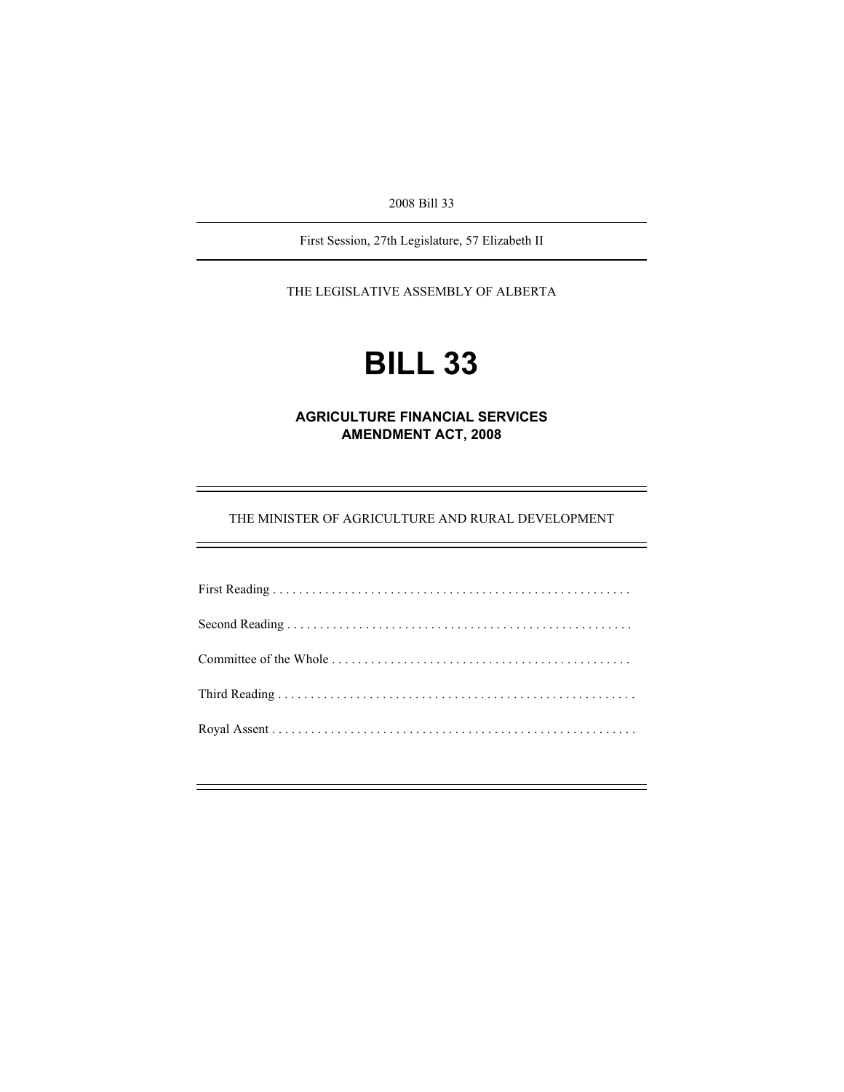2008 Bill 33

First Session, 27th Legislature, 57 Elizabeth II

THE LEGISLATIVE ASSEMBLY OF ALBERTA

# **BILL 33**

**AGRICULTURE FINANCIAL SERVICES AMENDMENT ACT, 2008** 

THE MINISTER OF AGRICULTURE AND RURAL DEVELOPMENT

e<br>H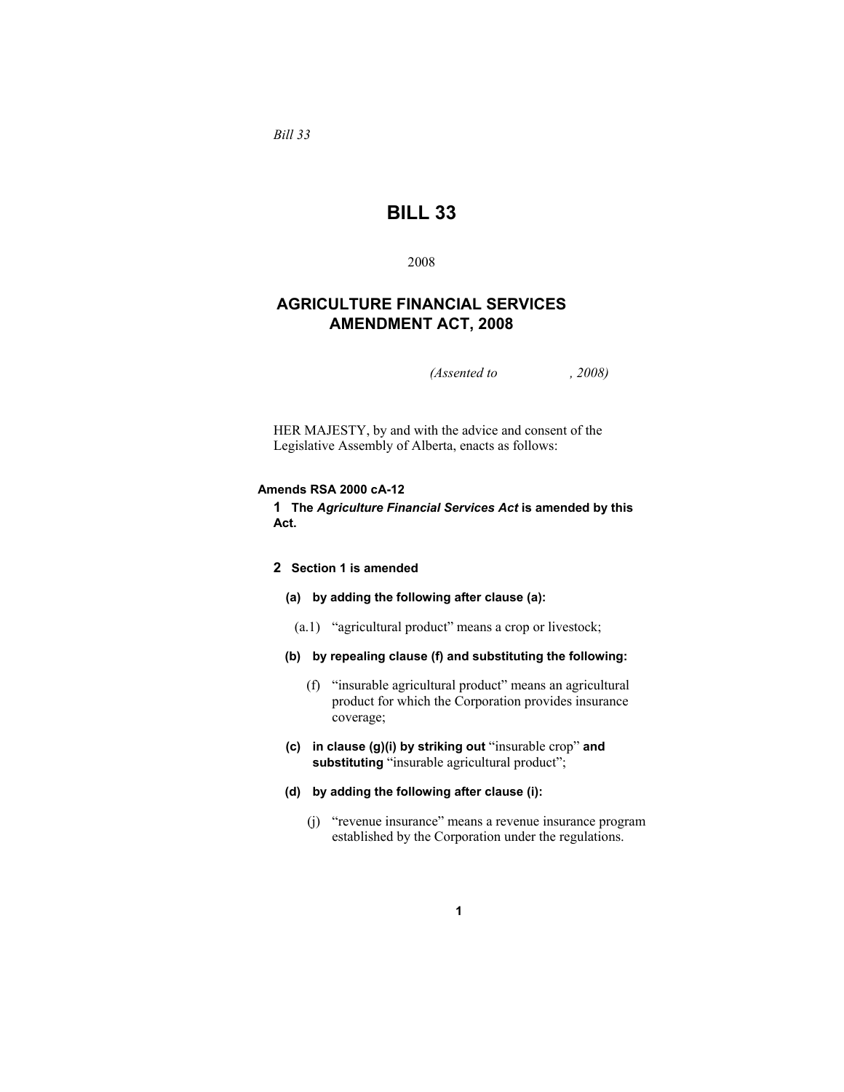*Bill 33* 

## **BILL 33**

2008

## **AGRICULTURE FINANCIAL SERVICES AMENDMENT ACT, 2008**

*(Assented to , 2008)* 

HER MAJESTY, by and with the advice and consent of the Legislative Assembly of Alberta, enacts as follows:

## **Amends RSA 2000 cA-12**

**1 The** *Agriculture Financial Services Act* **is amended by this Act.**

## **2 Section 1 is amended**

- **(a) by adding the following after clause (a):**
- (a.1) "agricultural product" means a crop or livestock;
- **(b) by repealing clause (f) and substituting the following:**
	- (f) "insurable agricultural product" means an agricultural product for which the Corporation provides insurance coverage;
- **(c) in clause (g)(i) by striking out** "insurable crop" **and**  substituting "insurable agricultural product";
- **(d) by adding the following after clause (i):** 
	- (j) "revenue insurance" means a revenue insurance program established by the Corporation under the regulations.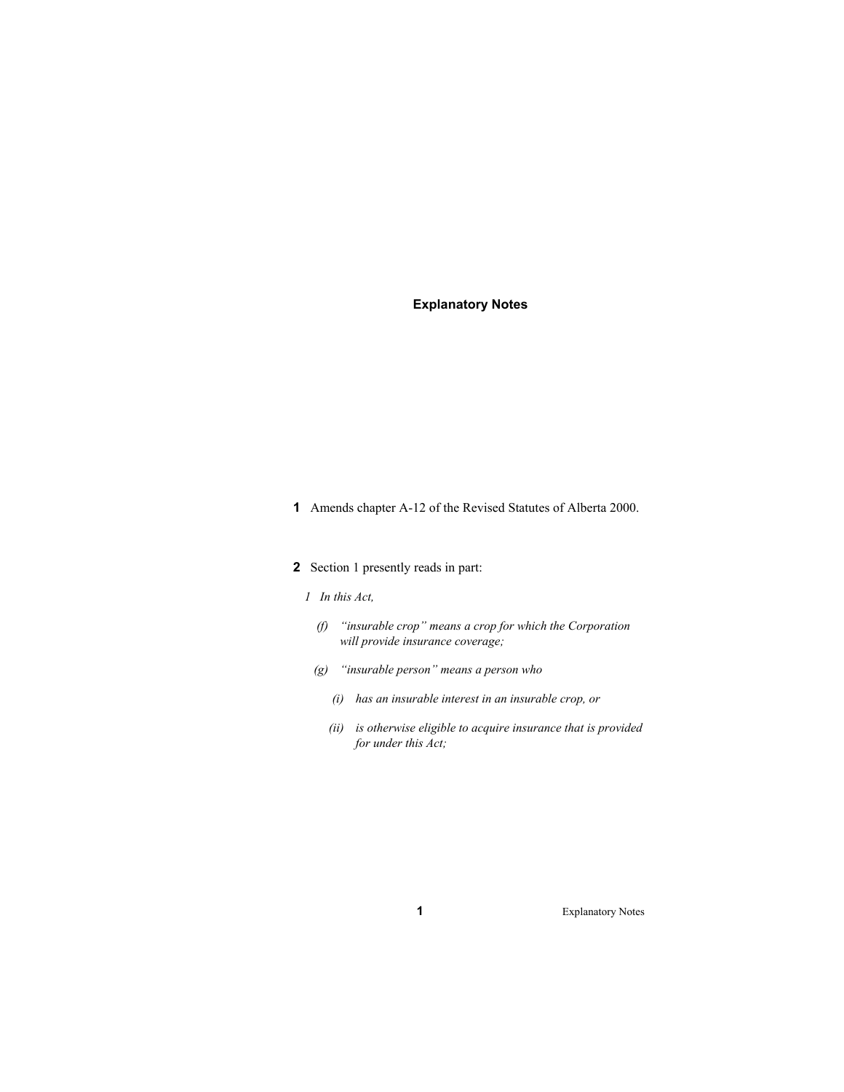## **Explanatory Notes**

**1** Amends chapter A-12 of the Revised Statutes of Alberta 2000.

## **2** Section 1 presently reads in part:

## *1 In this Act,*

- *(f) "insurable crop" means a crop for which the Corporation will provide insurance coverage;*
- *(g) "insurable person" means a person who* 
	- *(i) has an insurable interest in an insurable crop, or*
	- *(ii) is otherwise eligible to acquire insurance that is provided for under this Act;*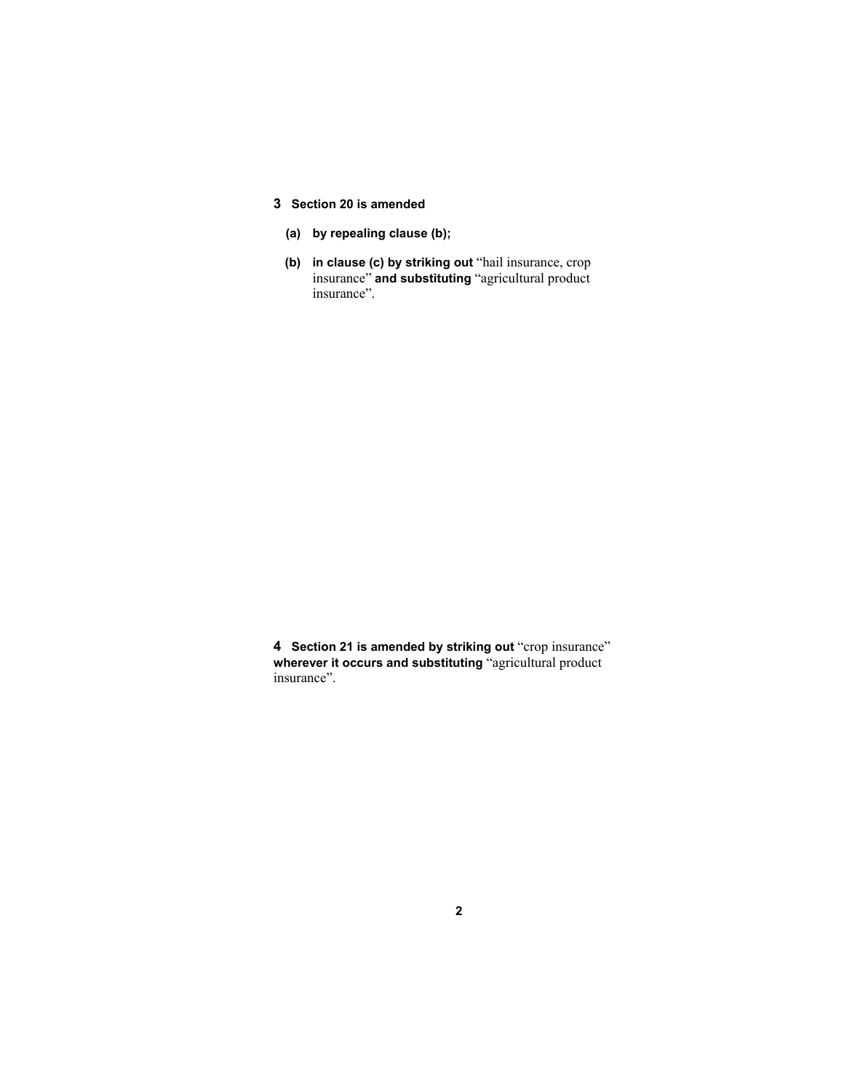## **3 Section 20 is amended**

- **(a) by repealing clause (b);**
- **(b) in clause (c) by striking out** "hail insurance, crop insurance" **and substituting** "agricultural product insurance".

**4 Section 21 is amended by striking out** "crop insurance" **wherever it occurs and substituting** "agricultural product insurance".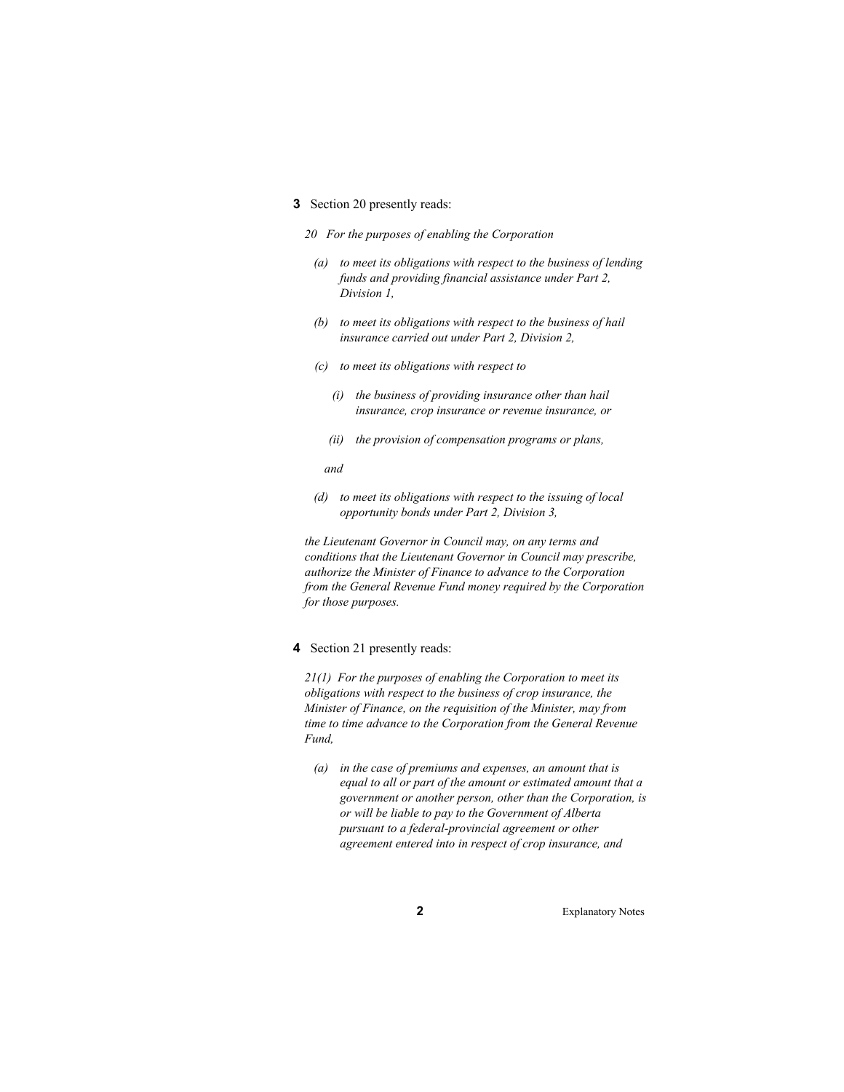## **3** Section 20 presently reads:

- *20 For the purposes of enabling the Corporation* 
	- *(a) to meet its obligations with respect to the business of lending funds and providing financial assistance under Part 2, Division 1,*
	- *(b) to meet its obligations with respect to the business of hail insurance carried out under Part 2, Division 2,*
	- *(c) to meet its obligations with respect to* 
		- *(i) the business of providing insurance other than hail insurance, crop insurance or revenue insurance, or*
		- *(ii) the provision of compensation programs or plans,*
		- *and*
	- *(d) to meet its obligations with respect to the issuing of local opportunity bonds under Part 2, Division 3,*

*the Lieutenant Governor in Council may, on any terms and conditions that the Lieutenant Governor in Council may prescribe, authorize the Minister of Finance to advance to the Corporation from the General Revenue Fund money required by the Corporation for those purposes.* 

#### **4** Section 21 presently reads:

*21(1) For the purposes of enabling the Corporation to meet its obligations with respect to the business of crop insurance, the Minister of Finance, on the requisition of the Minister, may from time to time advance to the Corporation from the General Revenue Fund,* 

 *(a) in the case of premiums and expenses, an amount that is equal to all or part of the amount or estimated amount that a government or another person, other than the Corporation, is or will be liable to pay to the Government of Alberta pursuant to a federal-provincial agreement or other agreement entered into in respect of crop insurance, and*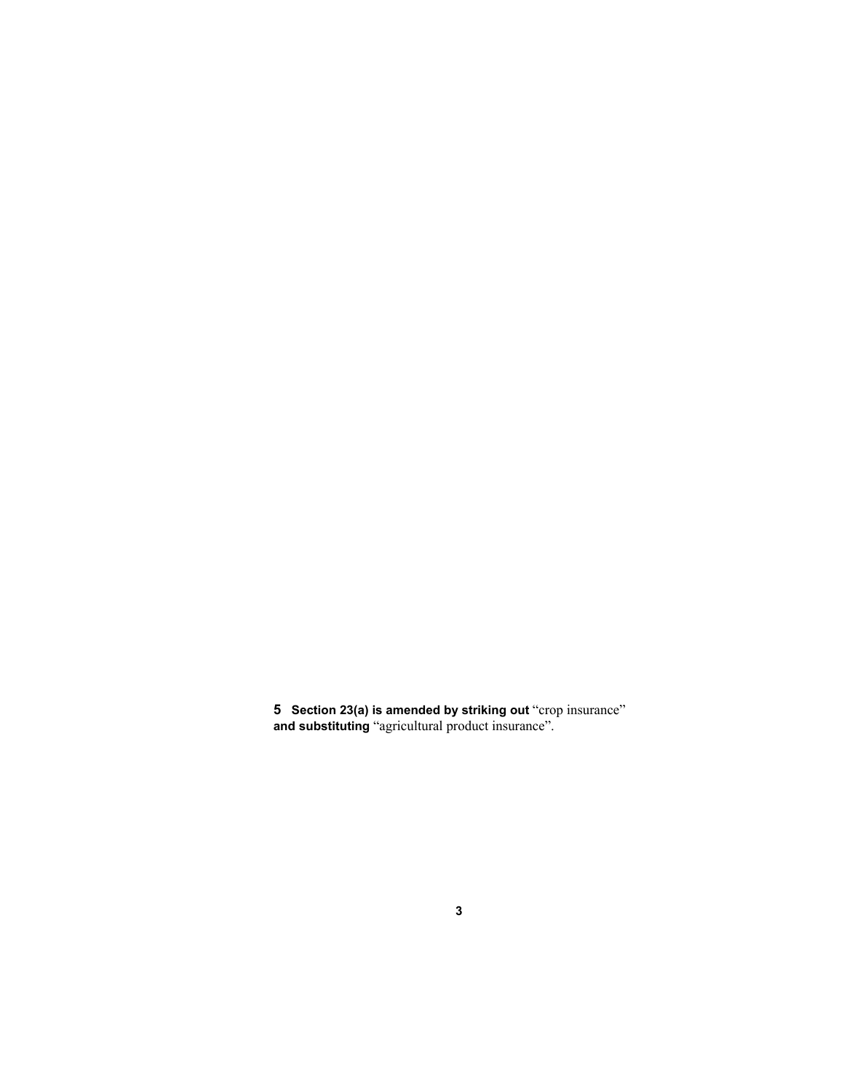Section 23(a) is amended by striking out "crop insurance" **and substituting** "agricultural product insurance".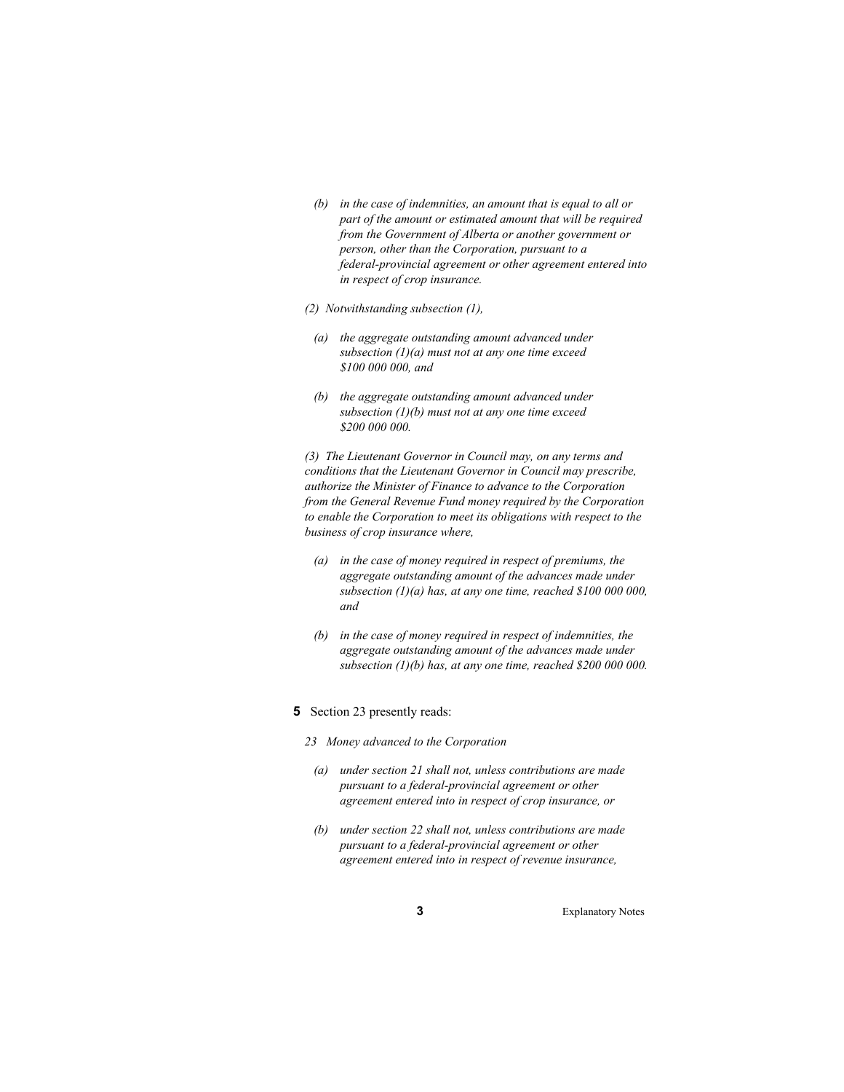- *(b) in the case of indemnities, an amount that is equal to all or part of the amount or estimated amount that will be required from the Government of Alberta or another government or person, other than the Corporation, pursuant to a federal-provincial agreement or other agreement entered into in respect of crop insurance.*
- *(2) Notwithstanding subsection (1),*
- *(a) the aggregate outstanding amount advanced under subsection (1)(a) must not at any one time exceed \$100 000 000, and*
- *(b) the aggregate outstanding amount advanced under subsection (1)(b) must not at any one time exceed \$200 000 000.*

*(3) The Lieutenant Governor in Council may, on any terms and conditions that the Lieutenant Governor in Council may prescribe, authorize the Minister of Finance to advance to the Corporation from the General Revenue Fund money required by the Corporation to enable the Corporation to meet its obligations with respect to the business of crop insurance where,* 

- *(a) in the case of money required in respect of premiums, the aggregate outstanding amount of the advances made under subsection (1)(a) has, at any one time, reached \$100 000 000, and*
- *(b) in the case of money required in respect of indemnities, the aggregate outstanding amount of the advances made under subsection (1)(b) has, at any one time, reached \$200 000 000.*
- **5** Section 23 presently reads:
	- *23 Money advanced to the Corporation* 
		- *(a) under section 21 shall not, unless contributions are made pursuant to a federal-provincial agreement or other agreement entered into in respect of crop insurance, or*
	- *(b) under section 22 shall not, unless contributions are made pursuant to a federal-provincial agreement or other agreement entered into in respect of revenue insurance,*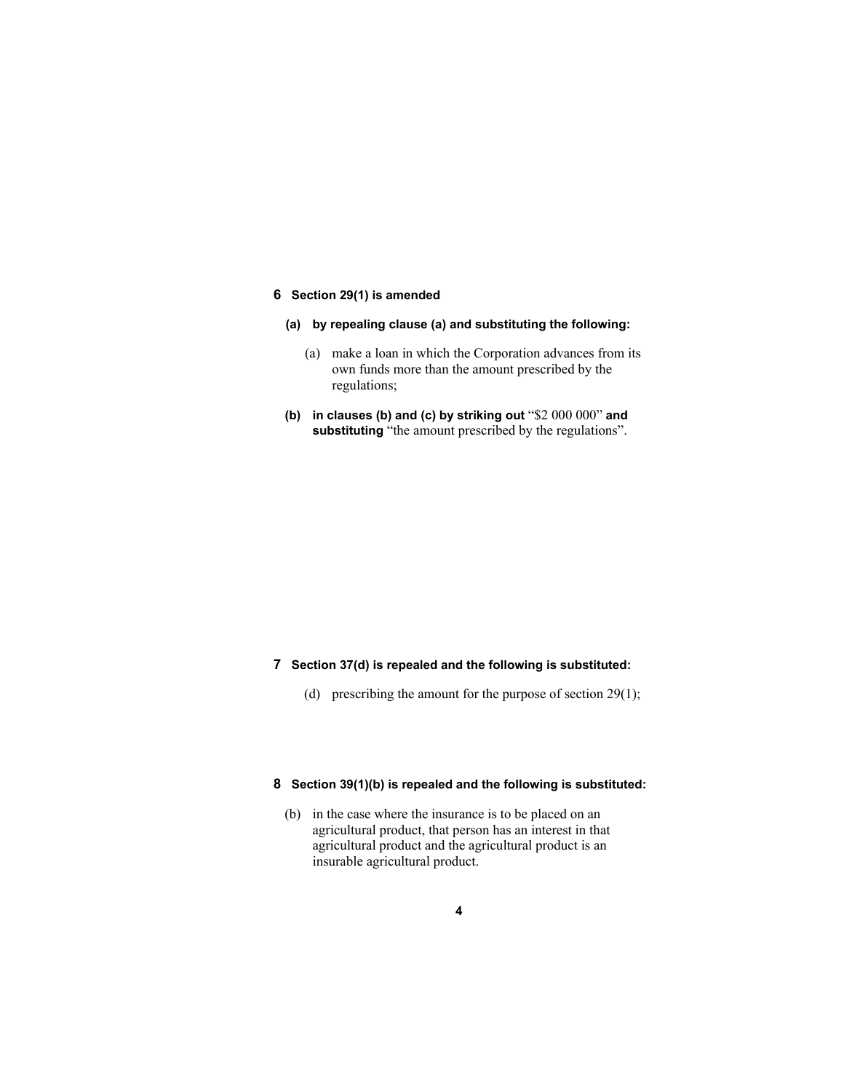## **6 Section 29(1) is amended**

- **(a) by repealing clause (a) and substituting the following:**
	- (a) make a loan in which the Corporation advances from its own funds more than the amount prescribed by the regulations;
- **(b) in clauses (b) and (c) by striking out** "\$2 000 000" **and**  substituting "the amount prescribed by the regulations".

## **7 Section 37(d) is repealed and the following is substituted:**

(d) prescribing the amount for the purpose of section 29(1);

## **8 Section 39(1)(b) is repealed and the following is substituted:**

 (b) in the case where the insurance is to be placed on an agricultural product, that person has an interest in that agricultural product and the agricultural product is an insurable agricultural product.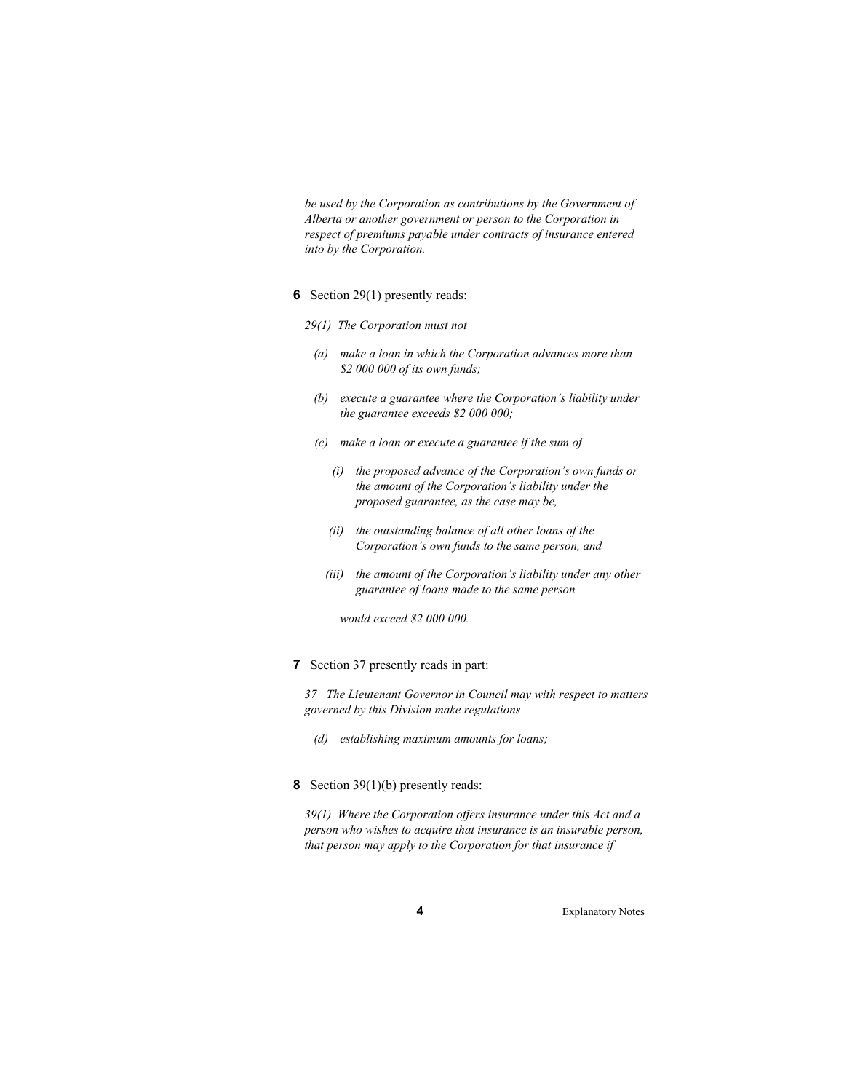*be used by the Corporation as contributions by the Government of Alberta or another government or person to the Corporation in respect of premiums payable under contracts of insurance entered into by the Corporation.* 

#### **6** Section 29(1) presently reads:

- *29(1) The Corporation must not* 
	- *(a) make a loan in which the Corporation advances more than \$2 000 000 of its own funds;*
	- *(b) execute a guarantee where the Corporation's liability under the guarantee exceeds \$2 000 000;*
	- *(c) make a loan or execute a guarantee if the sum of* 
		- *(i) the proposed advance of the Corporation's own funds or the amount of the Corporation's liability under the proposed guarantee, as the case may be,*
		- *(ii) the outstanding balance of all other loans of the Corporation's own funds to the same person, and*
		- *(iii) the amount of the Corporation's liability under any other guarantee of loans made to the same person*

 *would exceed \$2 000 000.* 

**7** Section 37 presently reads in part:

*37 The Lieutenant Governor in Council may with respect to matters governed by this Division make regulations* 

- *(d) establishing maximum amounts for loans;*
- **8** Section 39(1)(b) presently reads:

*39(1) Where the Corporation offers insurance under this Act and a person who wishes to acquire that insurance is an insurable person, that person may apply to the Corporation for that insurance if*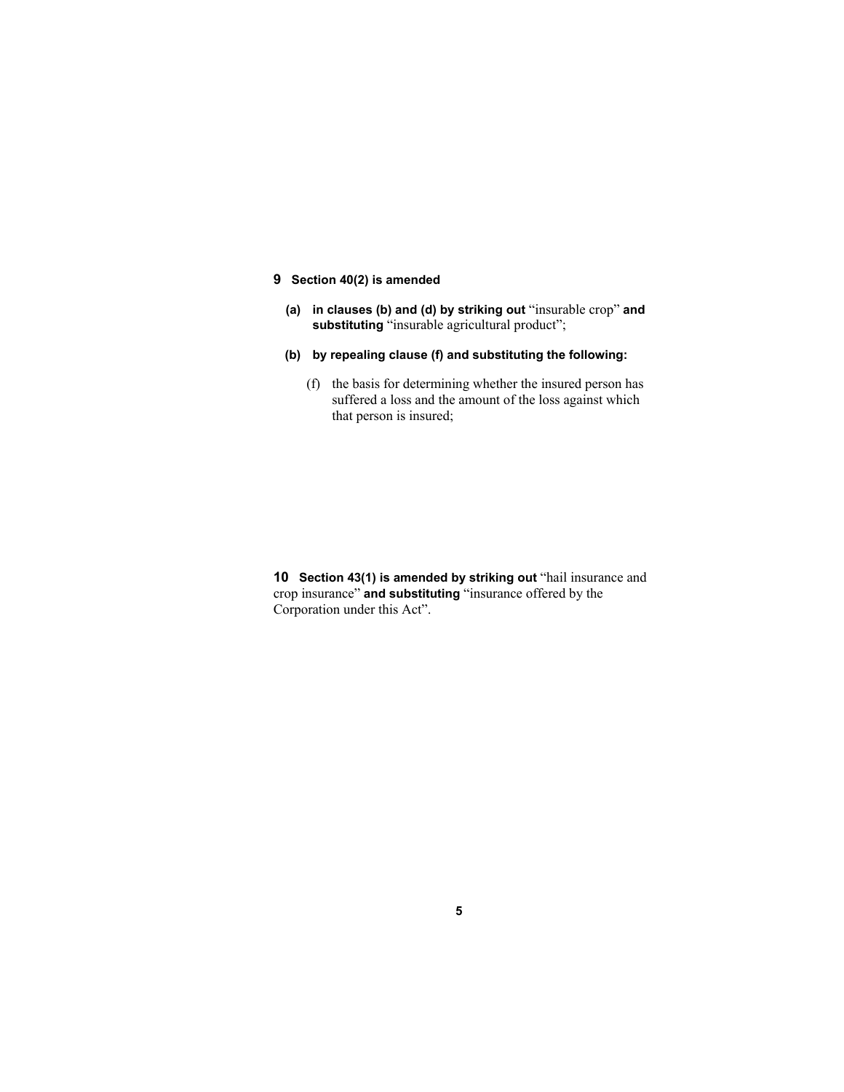## **9 Section 40(2) is amended**

- **(a) in clauses (b) and (d) by striking out** "insurable crop" **and substituting** "insurable agricultural product";
- **(b) by repealing clause (f) and substituting the following:**
	- (f) the basis for determining whether the insured person has suffered a loss and the amount of the loss against which that person is insured;

**10 Section 43(1) is amended by striking out** "hail insurance and crop insurance" **and substituting** "insurance offered by the Corporation under this Act".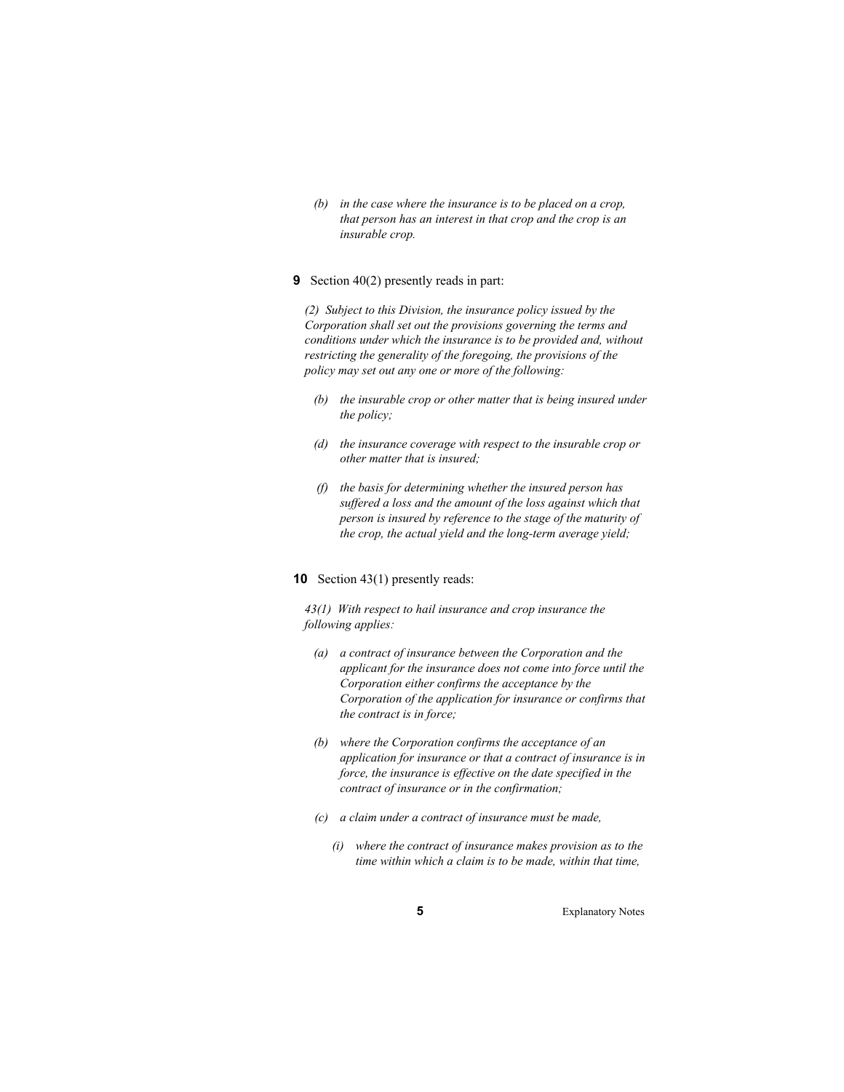*(b) in the case where the insurance is to be placed on a crop, that person has an interest in that crop and the crop is an insurable crop.* 

#### **9** Section 40(2) presently reads in part:

*(2) Subject to this Division, the insurance policy issued by the Corporation shall set out the provisions governing the terms and conditions under which the insurance is to be provided and, without restricting the generality of the foregoing, the provisions of the policy may set out any one or more of the following:* 

- *(b) the insurable crop or other matter that is being insured under the policy;*
- *(d) the insurance coverage with respect to the insurable crop or other matter that is insured;*
- *(f) the basis for determining whether the insured person has suffered a loss and the amount of the loss against which that person is insured by reference to the stage of the maturity of the crop, the actual yield and the long-term average yield;*

#### **10** Section 43(1) presently reads:

*43(1) With respect to hail insurance and crop insurance the following applies:* 

- *(a) a contract of insurance between the Corporation and the applicant for the insurance does not come into force until the Corporation either confirms the acceptance by the Corporation of the application for insurance or confirms that the contract is in force;*
- *(b) where the Corporation confirms the acceptance of an application for insurance or that a contract of insurance is in force, the insurance is effective on the date specified in the contract of insurance or in the confirmation;*
- *(c) a claim under a contract of insurance must be made,* 
	- *(i) where the contract of insurance makes provision as to the time within which a claim is to be made, within that time,*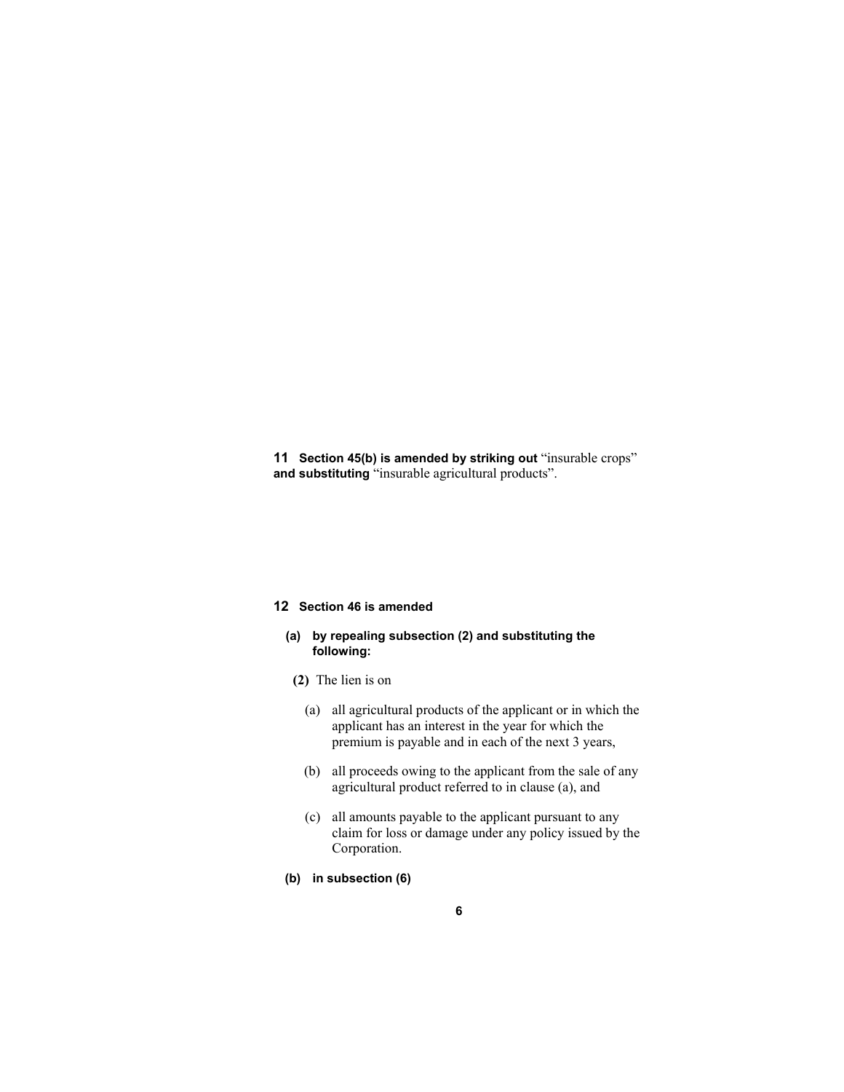**11 Section 45(b) is amended by striking out** "insurable crops" **and substituting** "insurable agricultural products".

## **12 Section 46 is amended**

## **(a) by repealing subsection (2) and substituting the following:**

- **(2)** The lien is on
	- (a) all agricultural products of the applicant or in which the applicant has an interest in the year for which the premium is payable and in each of the next 3 years,
	- (b) all proceeds owing to the applicant from the sale of any agricultural product referred to in clause (a), and
	- (c) all amounts payable to the applicant pursuant to any claim for loss or damage under any policy issued by the Corporation.
- **(b) in subsection (6)**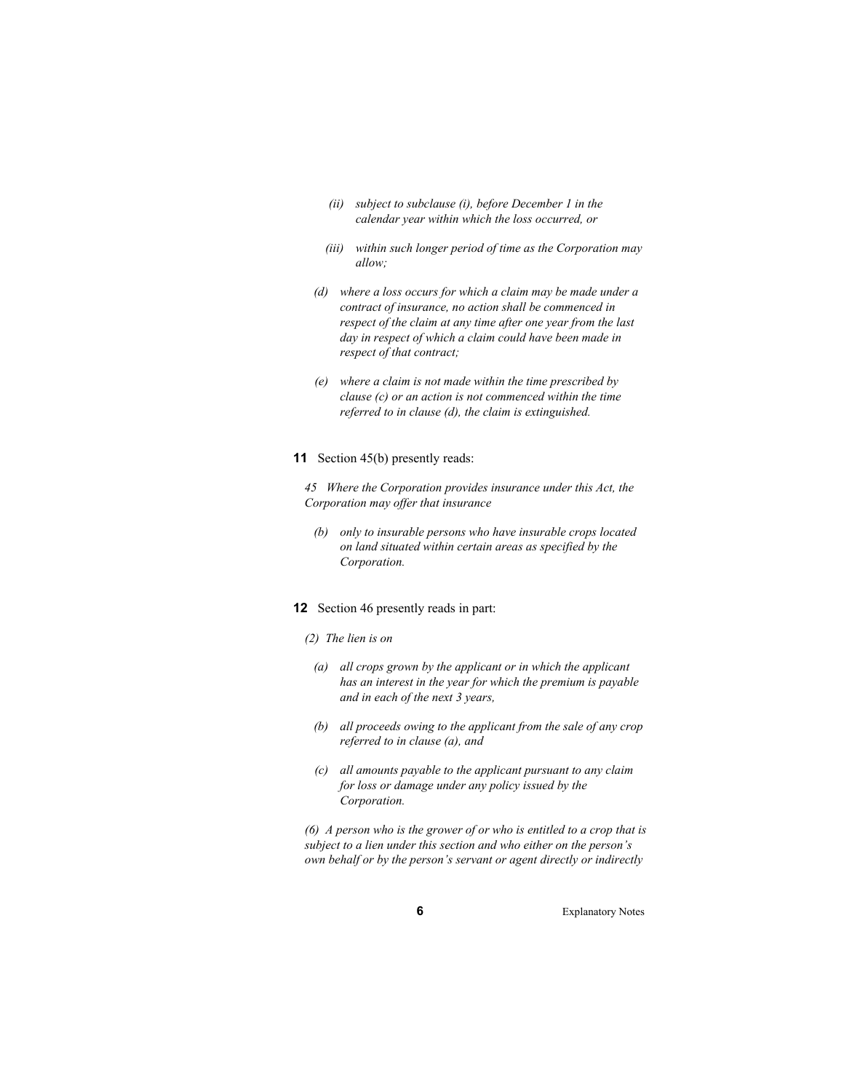- *(ii) subject to subclause (i), before December 1 in the calendar year within which the loss occurred, or*
- *(iii) within such longer period of time as the Corporation may allow;*
- *(d) where a loss occurs for which a claim may be made under a contract of insurance, no action shall be commenced in respect of the claim at any time after one year from the last day in respect of which a claim could have been made in respect of that contract;*
- *(e) where a claim is not made within the time prescribed by clause (c) or an action is not commenced within the time referred to in clause (d), the claim is extinguished.*

#### **11** Section 45(b) presently reads:

*45 Where the Corporation provides insurance under this Act, the Corporation may offer that insurance* 

 *(b) only to insurable persons who have insurable crops located on land situated within certain areas as specified by the Corporation.* 

#### **12** Section 46 presently reads in part:

#### *(2) The lien is on*

- *(a) all crops grown by the applicant or in which the applicant has an interest in the year for which the premium is payable and in each of the next 3 years,*
- *(b) all proceeds owing to the applicant from the sale of any crop referred to in clause (a), and*
- *(c) all amounts payable to the applicant pursuant to any claim for loss or damage under any policy issued by the Corporation.*

*(6) A person who is the grower of or who is entitled to a crop that is subject to a lien under this section and who either on the person's own behalf or by the person's servant or agent directly or indirectly*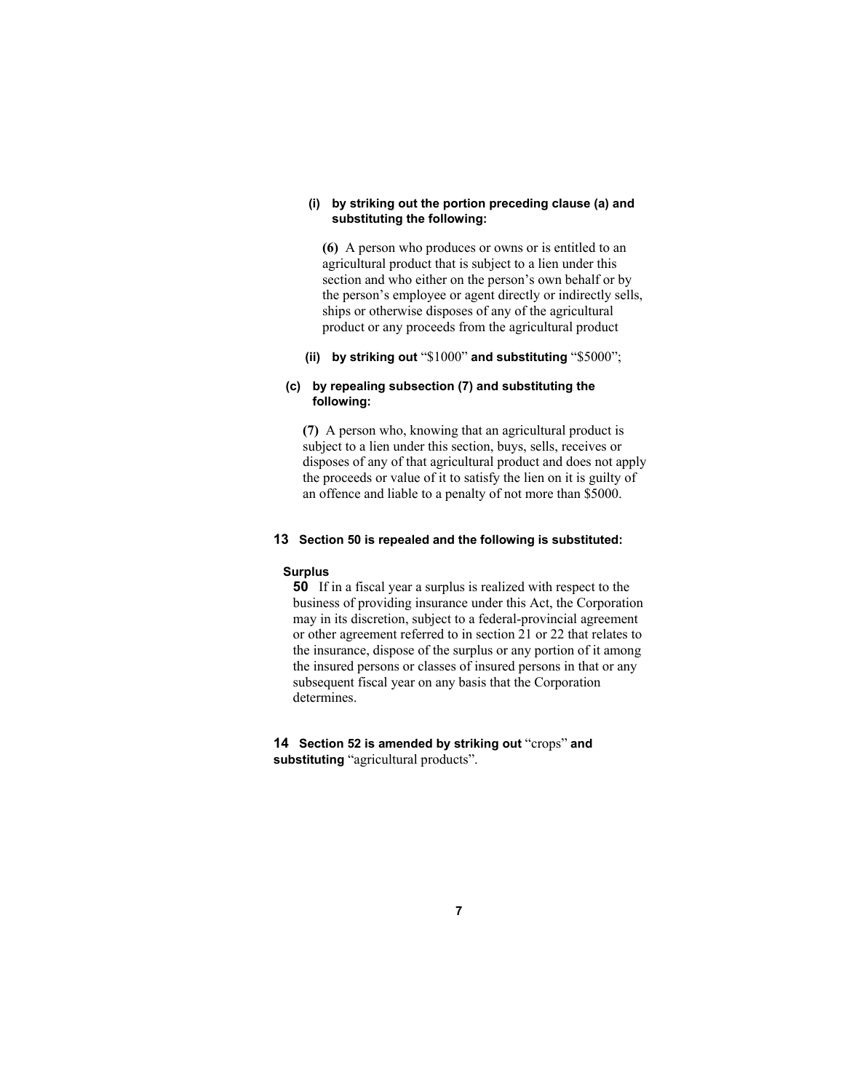## **(i) by striking out the portion preceding clause (a) and substituting the following:**

**(6)** A person who produces or owns or is entitled to an agricultural product that is subject to a lien under this section and who either on the person's own behalf or by the person's employee or agent directly or indirectly sells, ships or otherwise disposes of any of the agricultural product or any proceeds from the agricultural product

## **(ii) by striking out** "\$1000" **and substituting** "\$5000";

## **(c) by repealing subsection (7) and substituting the following:**

**(7)** A person who, knowing that an agricultural product is subject to a lien under this section, buys, sells, receives or disposes of any of that agricultural product and does not apply the proceeds or value of it to satisfy the lien on it is guilty of an offence and liable to a penalty of not more than \$5000.

## **13 Section 50 is repealed and the following is substituted:**

#### **Surplus**

**50** If in a fiscal year a surplus is realized with respect to the business of providing insurance under this Act, the Corporation may in its discretion, subject to a federal-provincial agreement or other agreement referred to in section 21 or 22 that relates to the insurance, dispose of the surplus or any portion of it among the insured persons or classes of insured persons in that or any subsequent fiscal year on any basis that the Corporation determines.

**14 Section 52 is amended by striking out** "crops" **and substituting** "agricultural products".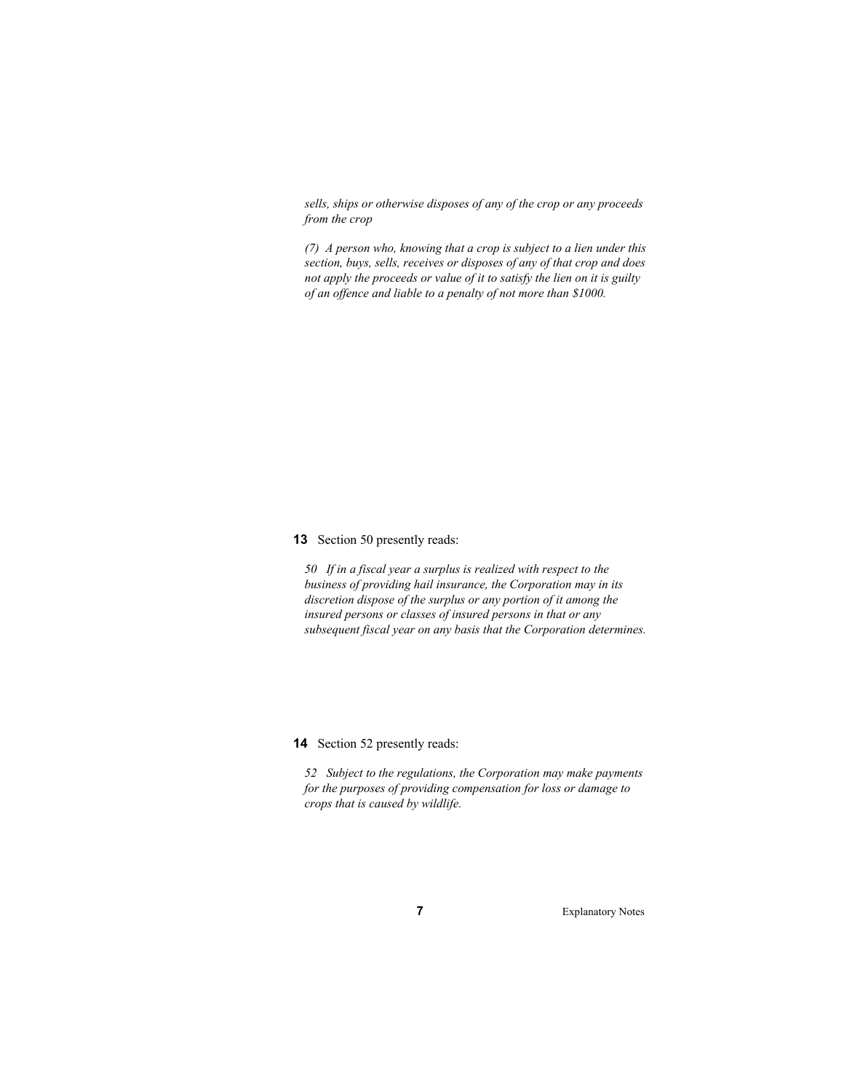*sells, ships or otherwise disposes of any of the crop or any proceeds from the crop* 

*(7) A person who, knowing that a crop is subject to a lien under this section, buys, sells, receives or disposes of any of that crop and does not apply the proceeds or value of it to satisfy the lien on it is guilty of an offence and liable to a penalty of not more than \$1000.* 

**13** Section 50 presently reads:

*50 If in a fiscal year a surplus is realized with respect to the business of providing hail insurance, the Corporation may in its discretion dispose of the surplus or any portion of it among the insured persons or classes of insured persons in that or any subsequent fiscal year on any basis that the Corporation determines.* 

**14** Section 52 presently reads:

*52 Subject to the regulations, the Corporation may make payments for the purposes of providing compensation for loss or damage to crops that is caused by wildlife.*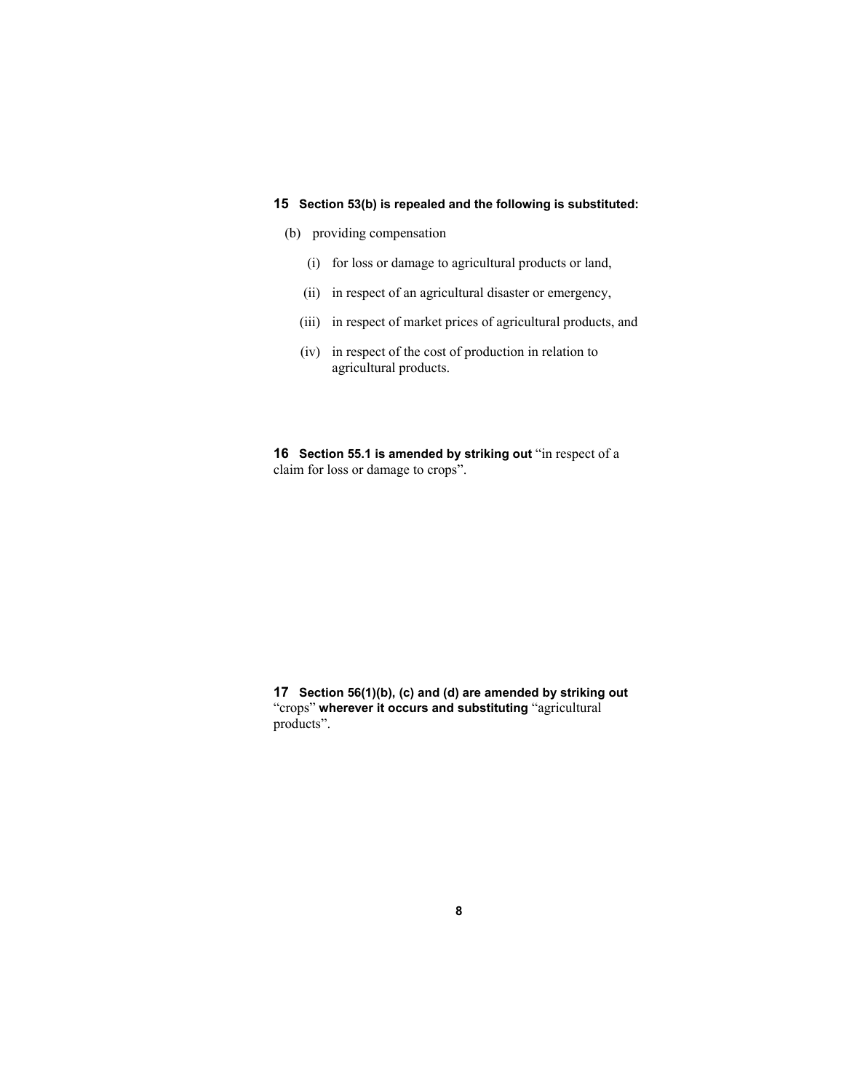## **15 Section 53(b) is repealed and the following is substituted:**

- (b) providing compensation
	- (i) for loss or damage to agricultural products or land,
	- (ii) in respect of an agricultural disaster or emergency,
	- (iii) in respect of market prices of agricultural products, and
	- (iv) in respect of the cost of production in relation to agricultural products.

**16 Section 55.1 is amended by striking out "in respect of a** claim for loss or damage to crops".

**17 Section 56(1)(b), (c) and (d) are amended by striking out**  "crops" **wherever it occurs and substituting** "agricultural products".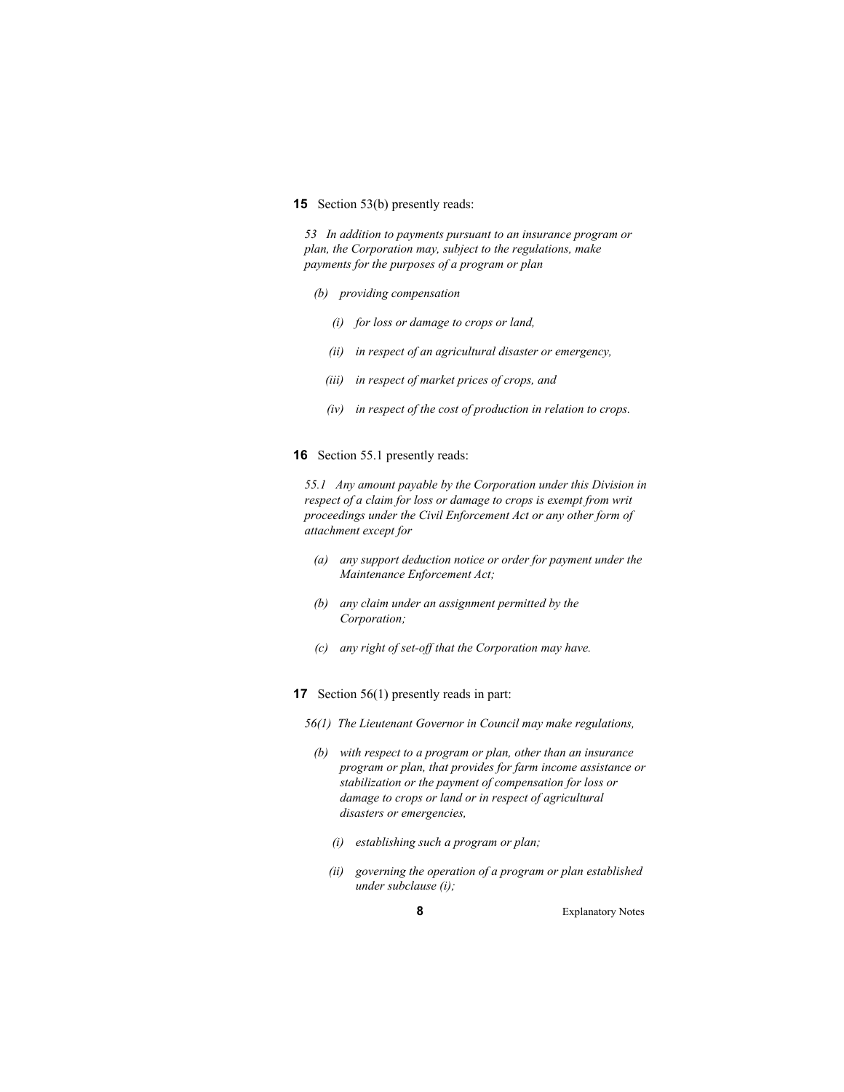#### **15** Section 53(b) presently reads:

*53 In addition to payments pursuant to an insurance program or plan, the Corporation may, subject to the regulations, make payments for the purposes of a program or plan* 

- *(b) providing compensation* 
	- *(i) for loss or damage to crops or land,*
	- *(ii) in respect of an agricultural disaster or emergency,*
	- *(iii) in respect of market prices of crops, and*
	- *(iv) in respect of the cost of production in relation to crops.*
- **16** Section 55.1 presently reads:

*55.1 Any amount payable by the Corporation under this Division in respect of a claim for loss or damage to crops is exempt from writ proceedings under the Civil Enforcement Act or any other form of attachment except for* 

- *(a) any support deduction notice or order for payment under the Maintenance Enforcement Act;*
- *(b) any claim under an assignment permitted by the Corporation;*
- *(c) any right of set-off that the Corporation may have.*
- **17** Section 56(1) presently reads in part:
	- *56(1) The Lieutenant Governor in Council may make regulations,* 
		- *(b) with respect to a program or plan, other than an insurance program or plan, that provides for farm income assistance or stabilization or the payment of compensation for loss or damage to crops or land or in respect of agricultural disasters or emergencies,* 
			- *(i) establishing such a program or plan;*
			- *(ii) governing the operation of a program or plan established under subclause (i);*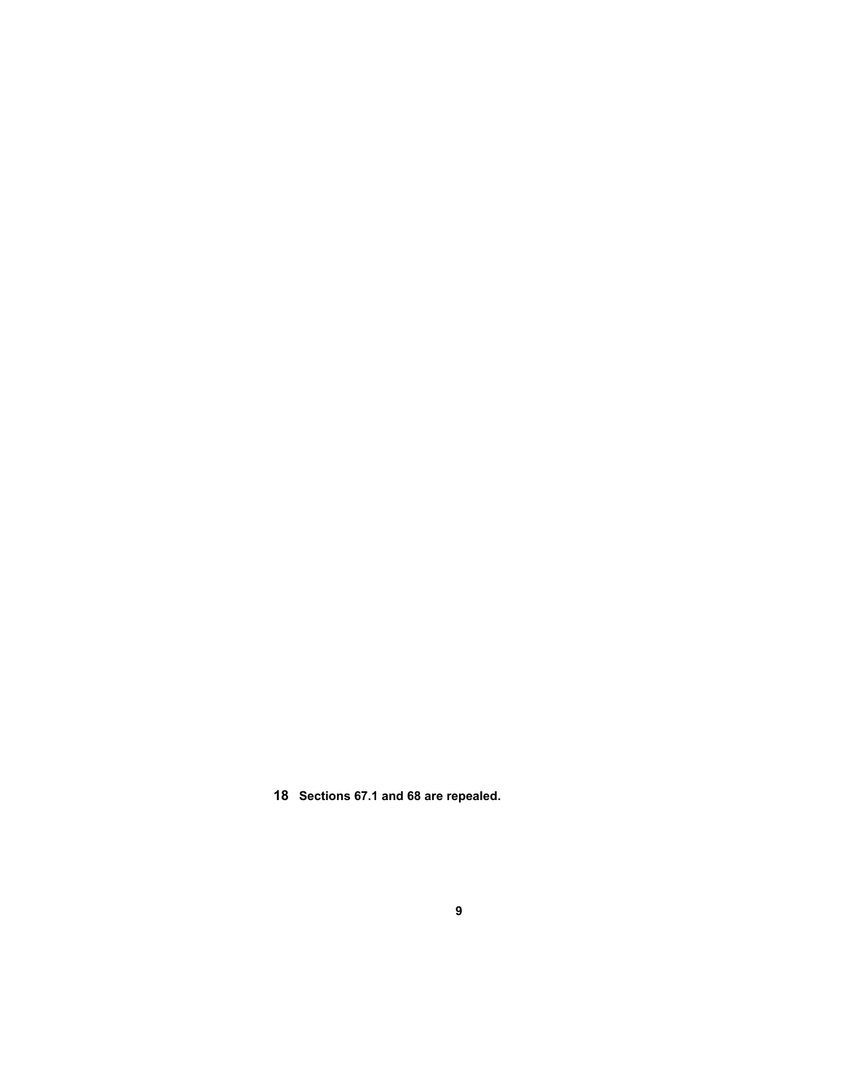**18 Sections 67.1 and 68 are repealed.**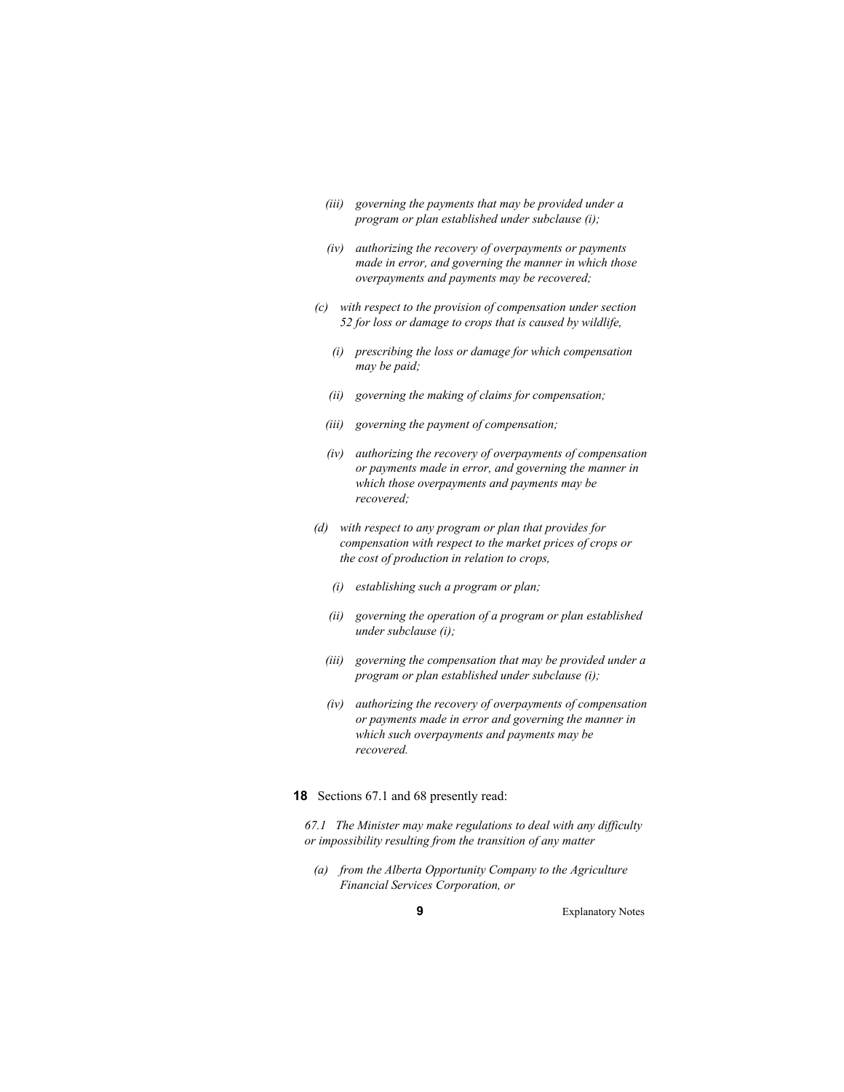- *(iii) governing the payments that may be provided under a program or plan established under subclause (i);*
- *(iv) authorizing the recovery of overpayments or payments made in error, and governing the manner in which those overpayments and payments may be recovered;*
- *(c) with respect to the provision of compensation under section 52 for loss or damage to crops that is caused by wildlife,* 
	- *(i) prescribing the loss or damage for which compensation may be paid;*
	- *(ii) governing the making of claims for compensation;*
	- *(iii) governing the payment of compensation;*
	- *(iv) authorizing the recovery of overpayments of compensation or payments made in error, and governing the manner in which those overpayments and payments may be recovered;*
- *(d) with respect to any program or plan that provides for compensation with respect to the market prices of crops or the cost of production in relation to crops,* 
	- *(i) establishing such a program or plan;*
	- *(ii) governing the operation of a program or plan established under subclause (i);*
	- *(iii) governing the compensation that may be provided under a program or plan established under subclause (i);*
	- *(iv) authorizing the recovery of overpayments of compensation or payments made in error and governing the manner in which such overpayments and payments may be recovered.*

## **18** Sections 67.1 and 68 presently read:

*67.1 The Minister may make regulations to deal with any difficulty or impossibility resulting from the transition of any matter* 

 *(a) from the Alberta Opportunity Company to the Agriculture Financial Services Corporation, or*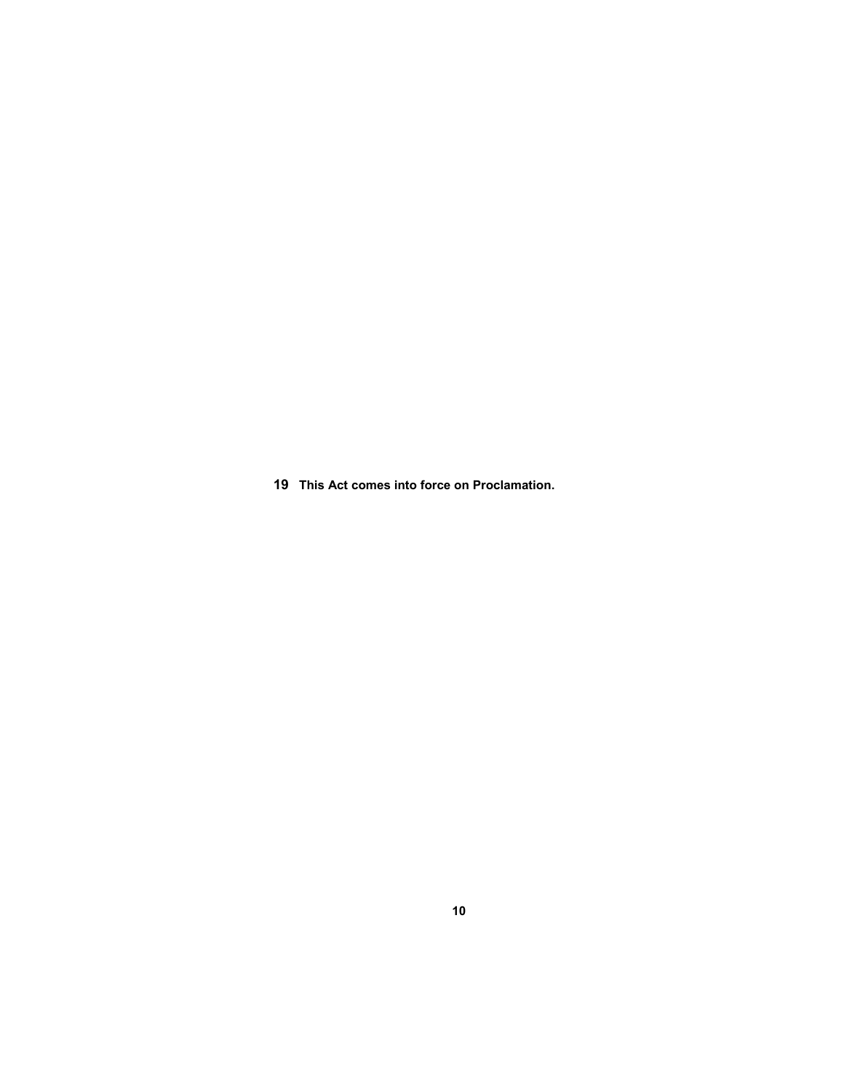**19 This Act comes into force on Proclamation.**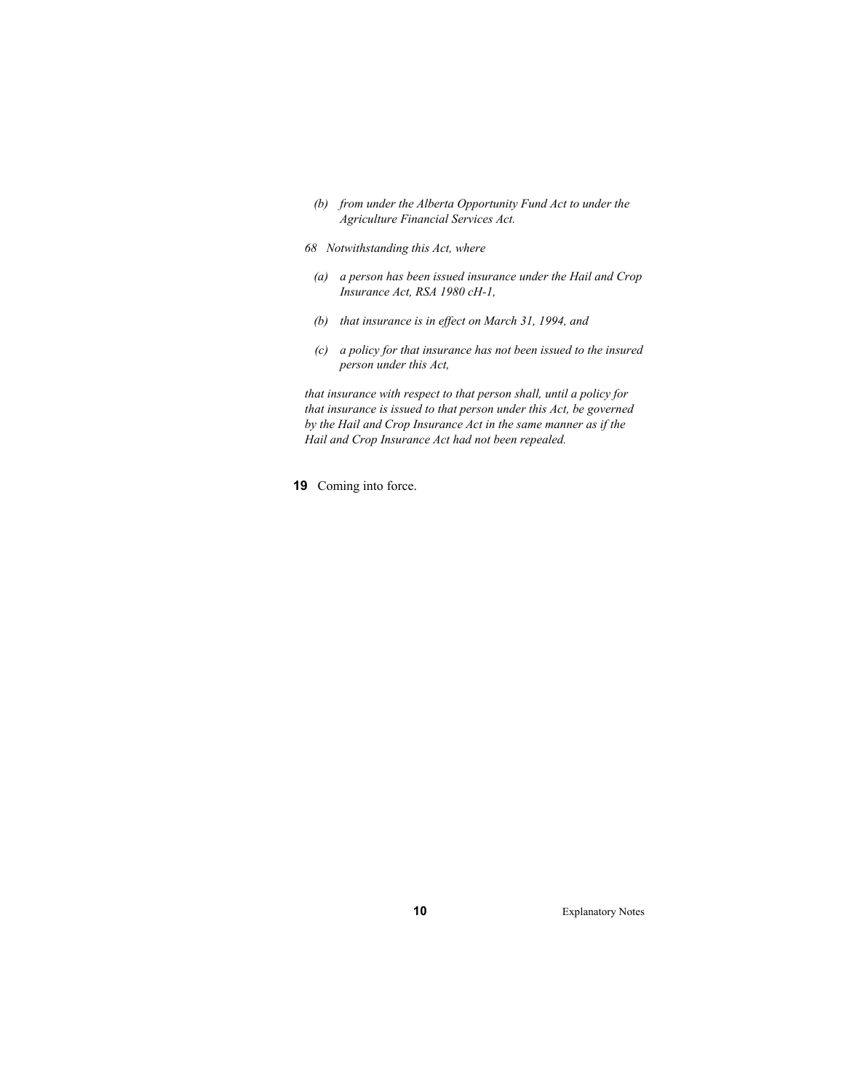- *(b) from under the Alberta Opportunity Fund Act to under the Agriculture Financial Services Act.*
- *68 Notwithstanding this Act, where* 
	- *(a) a person has been issued insurance under the Hail and Crop Insurance Act, RSA 1980 cH-1,*
	- *(b) that insurance is in effect on March 31, 1994, and*
	- *(c) a policy for that insurance has not been issued to the insured person under this Act,*

*that insurance with respect to that person shall, until a policy for that insurance is issued to that person under this Act, be governed by the Hail and Crop Insurance Act in the same manner as if the Hail and Crop Insurance Act had not been repealed.* 

**19** Coming into force.